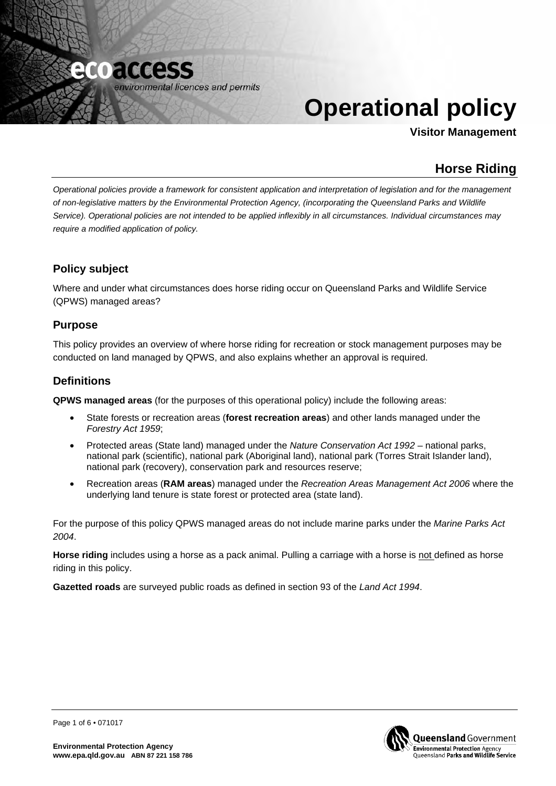

# **Operational policy**

**Visitor Management**

# **Horse Riding**

*Operational policies provide a framework for consistent application and interpretation of legislation and for the management of non-legislative matters by the Environmental Protection Agency, (incorporating the Queensland Parks and Wildlife Service). Operational policies are not intended to be applied inflexibly in all circumstances. Individual circumstances may require a modified application of policy.* 

# **Policy subject**

Where and under what circumstances does horse riding occur on Queensland Parks and Wildlife Service (QPWS) managed areas?

# **Purpose**

This policy provides an overview of where horse riding for recreation or stock management purposes may be conducted on land managed by QPWS, and also explains whether an approval is required.

# **Definitions**

**QPWS managed areas** (for the purposes of this operational policy) include the following areas:

- State forests or recreation areas (**forest recreation areas**) and other lands managed under the *Forestry Act 1959*;
- Protected areas (State land) managed under the *Nature Conservation Act 1992*  national parks, national park (scientific), national park (Aboriginal land), national park (Torres Strait Islander land), national park (recovery), conservation park and resources reserve;
- Recreation areas (**RAM areas**) managed under the *Recreation Areas Management Act 2006* where the underlying land tenure is state forest or protected area (state land).

For the purpose of this policy QPWS managed areas do not include marine parks under the *Marine Parks Act 2004*.

**Horse riding** includes using a horse as a pack animal. Pulling a carriage with a horse is not defined as horse riding in this policy.

**Gazetted roads** are surveyed public roads as defined in section 93 of the *Land Act 1994*.



Page 1 of 6 • 071017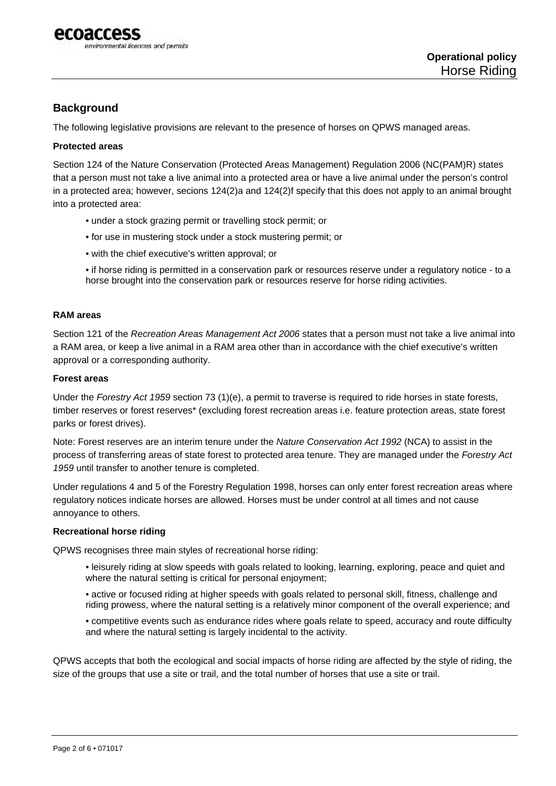

# **Background**

The following legislative provisions are relevant to the presence of horses on QPWS managed areas.

#### **Protected areas**

Section 124 of the Nature Conservation (Protected Areas Management) Regulation 2006 (NC(PAM)R) states that a person must not take a live animal into a protected area or have a live animal under the person's control in a protected area; however, secions 124(2)a and 124(2)f specify that this does not apply to an animal brought into a protected area:

- under a stock grazing permit or travelling stock permit; or
- for use in mustering stock under a stock mustering permit; or
- with the chief executive's written approval; or
- if horse riding is permitted in a conservation park or resources reserve under a regulatory notice to a horse brought into the conservation park or resources reserve for horse riding activities.

#### **RAM areas**

Section 121 of the *Recreation Areas Management Act 2006* states that a person must not take a live animal into a RAM area, or keep a live animal in a RAM area other than in accordance with the chief executive's written approval or a corresponding authority.

#### **Forest areas**

Under the *Forestry Act 1959* section 73 (1)(e), a permit to traverse is required to ride horses in state forests, timber reserves or forest reserves\* (excluding forest recreation areas i.e. feature protection areas, state forest parks or forest drives).

Note: Forest reserves are an interim tenure under the *Nature Conservation Act 1992* (NCA) to assist in the process of transferring areas of state forest to protected area tenure. They are managed under the *Forestry Act 1959* until transfer to another tenure is completed.

Under regulations 4 and 5 of the Forestry Regulation 1998, horses can only enter forest recreation areas where regulatory notices indicate horses are allowed. Horses must be under control at all times and not cause annoyance to others.

#### **Recreational horse riding**

QPWS recognises three main styles of recreational horse riding:

- leisurely riding at slow speeds with goals related to looking, learning, exploring, peace and quiet and where the natural setting is critical for personal enjoyment:
- active or focused riding at higher speeds with goals related to personal skill, fitness, challenge and riding prowess, where the natural setting is a relatively minor component of the overall experience; and
- competitive events such as endurance rides where goals relate to speed, accuracy and route difficulty and where the natural setting is largely incidental to the activity.

QPWS accepts that both the ecological and social impacts of horse riding are affected by the style of riding, the size of the groups that use a site or trail, and the total number of horses that use a site or trail.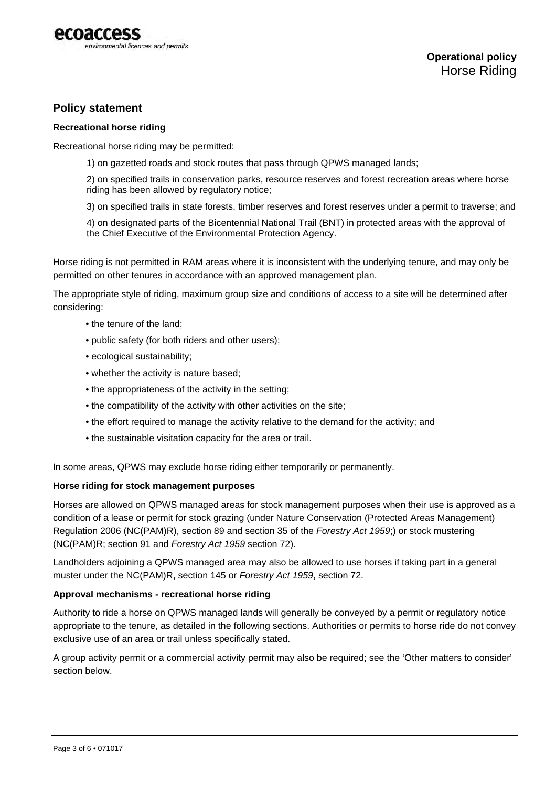

## **Policy statement**

#### **Recreational horse riding**

Recreational horse riding may be permitted:

1) on gazetted roads and stock routes that pass through QPWS managed lands;

2) on specified trails in conservation parks, resource reserves and forest recreation areas where horse riding has been allowed by regulatory notice;

3) on specified trails in state forests, timber reserves and forest reserves under a permit to traverse; and

4) on designated parts of the Bicentennial National Trail (BNT) in protected areas with the approval of the Chief Executive of the Environmental Protection Agency.

Horse riding is not permitted in RAM areas where it is inconsistent with the underlying tenure, and may only be permitted on other tenures in accordance with an approved management plan.

The appropriate style of riding, maximum group size and conditions of access to a site will be determined after considering:

- the tenure of the land;
- public safety (for both riders and other users);
- ecological sustainability;
- whether the activity is nature based;
- the appropriateness of the activity in the setting;
- the compatibility of the activity with other activities on the site;
- the effort required to manage the activity relative to the demand for the activity; and
- the sustainable visitation capacity for the area or trail.

In some areas, QPWS may exclude horse riding either temporarily or permanently.

#### **Horse riding for stock management purposes**

Horses are allowed on QPWS managed areas for stock management purposes when their use is approved as a condition of a lease or permit for stock grazing (under Nature Conservation (Protected Areas Management) Regulation 2006 (NC(PAM)R), section 89 and section 35 of the *Forestry Act 1959*;) or stock mustering (NC(PAM)R; section 91 and *Forestry Act 1959* section 72).

Landholders adjoining a QPWS managed area may also be allowed to use horses if taking part in a general muster under the NC(PAM)R, section 145 or *Forestry Act 1959*, section 72.

#### **Approval mechanisms - recreational horse riding**

Authority to ride a horse on QPWS managed lands will generally be conveyed by a permit or regulatory notice appropriate to the tenure, as detailed in the following sections. Authorities or permits to horse ride do not convey exclusive use of an area or trail unless specifically stated.

A group activity permit or a commercial activity permit may also be required; see the 'Other matters to consider' section below.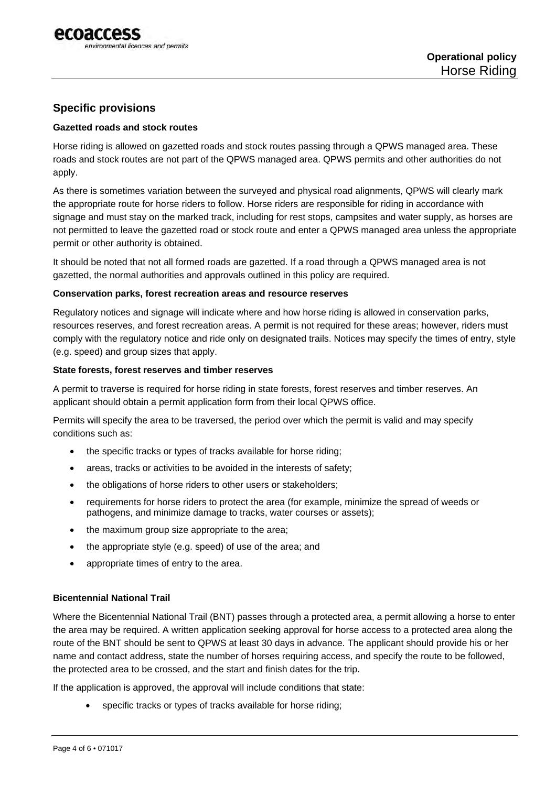

# **Specific provisions**

#### **Gazetted roads and stock routes**

Horse riding is allowed on gazetted roads and stock routes passing through a QPWS managed area. These roads and stock routes are not part of the QPWS managed area. QPWS permits and other authorities do not apply.

As there is sometimes variation between the surveyed and physical road alignments, QPWS will clearly mark the appropriate route for horse riders to follow. Horse riders are responsible for riding in accordance with signage and must stay on the marked track, including for rest stops, campsites and water supply, as horses are not permitted to leave the gazetted road or stock route and enter a QPWS managed area unless the appropriate permit or other authority is obtained.

It should be noted that not all formed roads are gazetted. If a road through a QPWS managed area is not gazetted, the normal authorities and approvals outlined in this policy are required.

#### **Conservation parks, forest recreation areas and resource reserves**

Regulatory notices and signage will indicate where and how horse riding is allowed in conservation parks, resources reserves, and forest recreation areas. A permit is not required for these areas; however, riders must comply with the regulatory notice and ride only on designated trails. Notices may specify the times of entry, style (e.g. speed) and group sizes that apply.

#### **State forests, forest reserves and timber reserves**

A permit to traverse is required for horse riding in state forests, forest reserves and timber reserves. An applicant should obtain a permit application form from their local QPWS office.

Permits will specify the area to be traversed, the period over which the permit is valid and may specify conditions such as:

- the specific tracks or types of tracks available for horse riding;
- areas, tracks or activities to be avoided in the interests of safety;
- the obligations of horse riders to other users or stakeholders;
- requirements for horse riders to protect the area (for example, minimize the spread of weeds or pathogens, and minimize damage to tracks, water courses or assets);
- the maximum group size appropriate to the area;
- the appropriate style (e.g. speed) of use of the area; and
- appropriate times of entry to the area.

#### **Bicentennial National Trail**

Where the Bicentennial National Trail (BNT) passes through a protected area, a permit allowing a horse to enter the area may be required. A written application seeking approval for horse access to a protected area along the route of the BNT should be sent to QPWS at least 30 days in advance. The applicant should provide his or her name and contact address, state the number of horses requiring access, and specify the route to be followed, the protected area to be crossed, and the start and finish dates for the trip.

If the application is approved, the approval will include conditions that state:

specific tracks or types of tracks available for horse riding;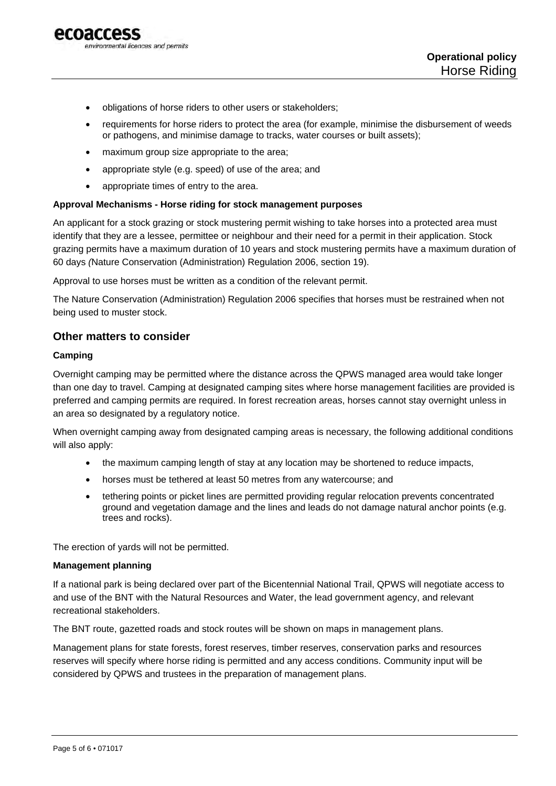

- obligations of horse riders to other users or stakeholders;
- requirements for horse riders to protect the area (for example, minimise the disbursement of weeds or pathogens, and minimise damage to tracks, water courses or built assets);
- maximum group size appropriate to the area;
- appropriate style (e.g. speed) of use of the area; and
- appropriate times of entry to the area.

#### **Approval Mechanisms - Horse riding for stock management purposes**

An applicant for a stock grazing or stock mustering permit wishing to take horses into a protected area must identify that they are a lessee, permittee or neighbour and their need for a permit in their application. Stock grazing permits have a maximum duration of 10 years and stock mustering permits have a maximum duration of 60 days *(*Nature Conservation (Administration) Regulation 2006, section 19).

Approval to use horses must be written as a condition of the relevant permit.

The Nature Conservation (Administration) Regulation 2006 specifies that horses must be restrained when not being used to muster stock.

#### **Other matters to consider**

#### **Camping**

Overnight camping may be permitted where the distance across the QPWS managed area would take longer than one day to travel. Camping at designated camping sites where horse management facilities are provided is preferred and camping permits are required. In forest recreation areas, horses cannot stay overnight unless in an area so designated by a regulatory notice.

When overnight camping away from designated camping areas is necessary, the following additional conditions will also apply:

- the maximum camping length of stay at any location may be shortened to reduce impacts,
- horses must be tethered at least 50 metres from any watercourse; and
- tethering points or picket lines are permitted providing regular relocation prevents concentrated ground and vegetation damage and the lines and leads do not damage natural anchor points (e.g. trees and rocks).

The erection of yards will not be permitted.

#### **Management planning**

If a national park is being declared over part of the Bicentennial National Trail, QPWS will negotiate access to and use of the BNT with the Natural Resources and Water, the lead government agency, and relevant recreational stakeholders.

The BNT route, gazetted roads and stock routes will be shown on maps in management plans.

Management plans for state forests, forest reserves, timber reserves, conservation parks and resources reserves will specify where horse riding is permitted and any access conditions. Community input will be considered by QPWS and trustees in the preparation of management plans.